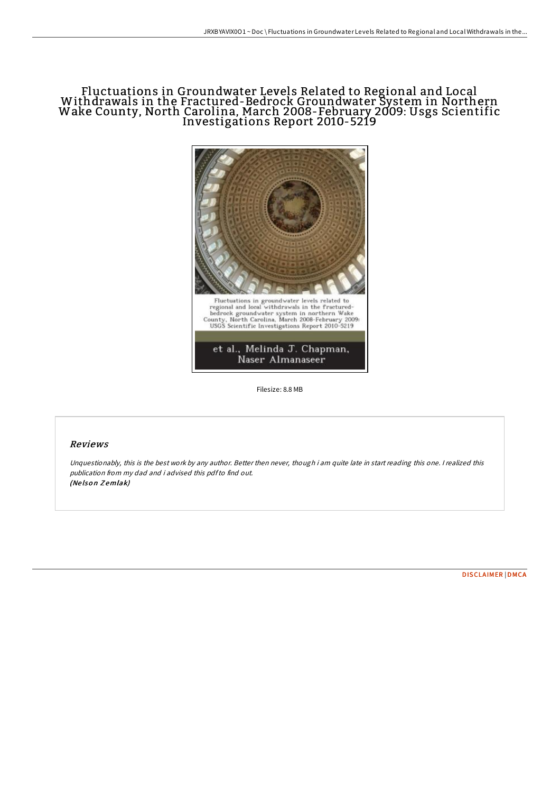# Fluctuations in Groundwater Levels Related to Regional and Local Withdrawals in the Fractured-Bedrock Groundwater System in Northern Wake County, North Carolina, March 2008-February 2009: Usgs Scientific Investigations Report 2010-5219



Filesize: 8.8 MB

## Reviews

Unquestionably, this is the best work by any author. Better then never, though i am quite late in start reading this one. I realized this publication from my dad and i advised this pdfto find out. (Nelson Zemlak)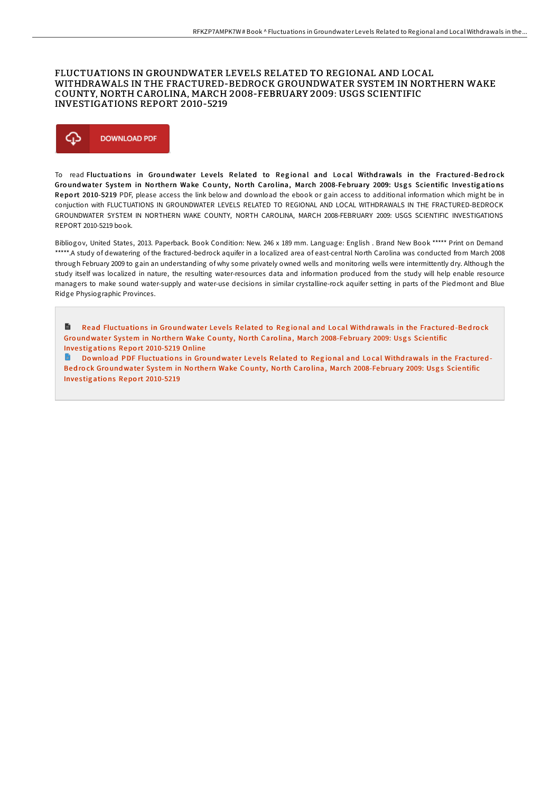#### FLUCTUATIONS IN GROUNDWATER LEVELS RELATED TO REGIONAL AND LOCAL WITHDRAWALS IN THE FRACTURED-BEDROCK GROUNDWATER SYSTEM IN NORTHERN WAKE COUNTY, NORTH CAROLINA, MARCH 2008-FEBRUARY 2009; USGS SCIENTIFIC **INVESTIGATIONS REPORT 2010-5219**



To read Fluctuations in Groundwater Levels Related to Regional and Local Withdrawals in the Fractured-Bedrock Groundwater System in Northern Wake County, North Carolina, March 2008-February 2009: Usgs Scientific Investigations Report 2010-5219 PDF, please access the link below and download the ebook or gain access to additional information which might be in conjuction with FLUCTUATIONS IN GROUNDWATER LEVELS RELATED TO REGIONAL AND LOCAL WITHDRAWALS IN THE FRACTURED-BEDROCK GROUNDWATER SYSTEM IN NORTHERN WAKE COUNTY, NORTH CAROLINA, MARCH 2008-FEBRUARY 2009: USGS SCIENTIFIC INVESTIGATIONS REPORT 2010-5219 book

Bibliogov, United States, 2013. Paperback. Book Condition: New. 246 x 189 mm. Language: English . Brand New Book \*\*\*\*\* Print on Demand \*\*\*\*\*. A study of dewatering of the fractured-bedrock aquifer in a localized area of east-central North Carolina was conducted from March 2008 through February 2009 to gain an understanding of why some privately owned wells and monitoring wells were intermittently dry. Although the study itself was localized in nature, the resulting water-resources data and information produced from the study will help enable resource managers to make sound water-supply and water-use decisions in similar crystalline-rock aquifer setting in parts of the Piedmont and Blue Ridge Physiographic Provinces.

B Read Fluctuations in Groundwater Levels Related to Regional and Local Withdrawals in the Fractured-Bedrock Groundwater System in Northern Wake County, North Carolina, March 2008-February 2009: Usgs Scientific Investigations Report 2010-5219 Online

Download PDF Fluctuations in Groundwater Levels Related to Regional and Local Withdrawals in the Fractured-Bedrock Groundwater System in Northern Wake County, North Carolina, March 2008-February 2009: Usgs Scientific Investigations Report 2010-5219